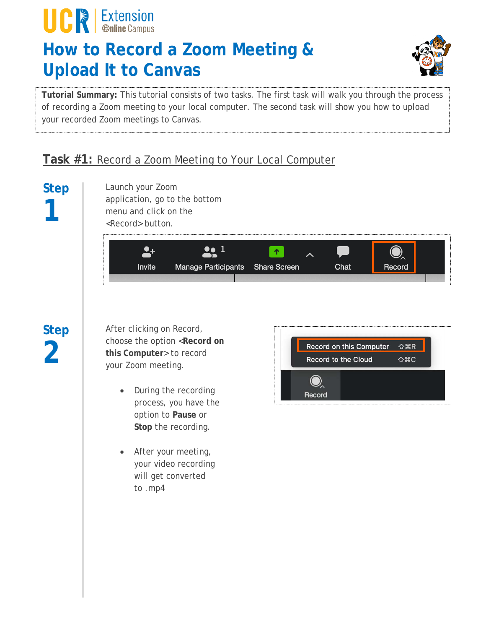## **How to Record a Zoom Meeting & Upload It to Canvas**



**Tutorial Summary:** This tutorial consists of two tasks. The first task will walk you through the process of recording a Zoom meeting to your local computer. The second task will show you how to upload your recorded Zoom meetings to Canvas.

### **Task #1:** Record a Zoom Meeting to Your Local Computer

# **Step 1**

**UCR** Extension

Launch your Zoom application, go to the bottom menu and click on the <Record> button.

| Invite | Manage Participants Share Screen |  | Chat |  |
|--------|----------------------------------|--|------|--|
|        |                                  |  |      |  |

## **Step 2**

After clicking on Record, choose the option <**Record on this Computer**> to record your Zoom meeting.

- During the recording process, you have the option to **Pause** or **Stop** the recording.
- After your meeting, your video recording will get converted to .mp4

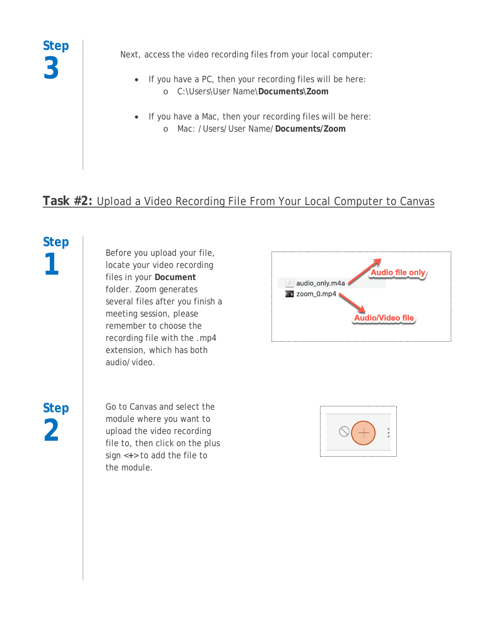**Step 3**

Next, access the video recording files from your local computer:

- If you have a PC, then your recording files will be here: o C:\Users\User Name\**Documents\Zoom**
- If you have a Mac, then your recording files will be here: o Mac: /Users/User Name/**Documents/Zoom**

### **Task #2:** Upload a Video Recording File From Your Local Computer to Canvas

# **Step**

**1** Before you upload your file,<br>locate your video recording<br>files in your Document locate your video recording files in your **Document** folder. Zoom generates several files after you finish a meeting session, please remember to choose the recording file with the .mp4 extension, which has both audio/video.

**Step 2**

Go to Canvas and select the module where you want to upload the video recording file to, then click on the plus sign <**+**> to add the file to the module.